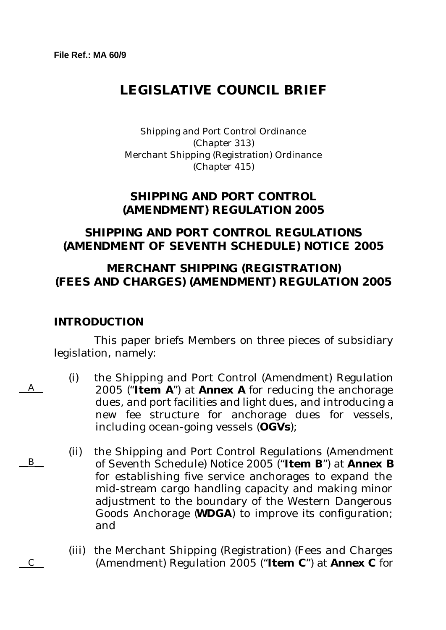# **LEGISLATIVE COUNCIL BRIEF**

Shipping and Port Control Ordinance (Chapter 313) Merchant Shipping (Registration) Ordinance (Chapter 415)

### **SHIPPING AND PORT CONTROL (AMENDMENT) REGULATION 2005**

## **SHIPPING AND PORT CONTROL REGULATIONS (AMENDMENT OF SEVENTH SCHEDULE) NOTICE 2005**

## **MERCHANT SHIPPING (REGISTRATION) (FEES AND CHARGES) (AMENDMENT) REGULATION 2005**

### **INTRODUCTION**

 $\overline{A}$ 

 $\overline{B}$ 

 $\overline{C}$ 

This paper briefs Members on three pieces of subsidiary legislation, namely:

- (i) the Shipping and Port Control (Amendment) Regulation 2005 ("**Item A**") at **Annex A** for reducing the anchorage dues, and port facilities and light dues, and introducing a new fee structure for anchorage dues for vessels, including ocean-going vessels (**OGVs**);
- (ii) the Shipping and Port Control Regulations (Amendment of Seventh Schedule) Notice 2005 ("**Item B**") at **Annex B** for establishing five service anchorages to expand the mid-stream cargo handling capacity and making minor adjustment to the boundary of the Western Dangerous Goods Anchorage (**WDGA**) to improve its configuration; and
- (iii) the Merchant Shipping (Registration) (Fees and Charges (Amendment) Regulation 2005 ("**Item C**") at **Annex C** for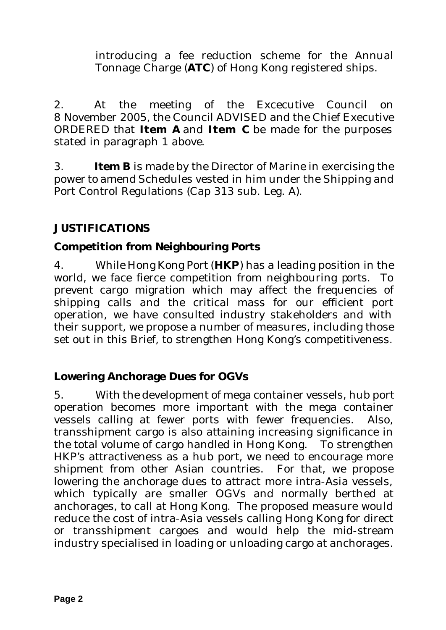introducing a fee reduction scheme for the Annual Tonnage Charge (**ATC**) of Hong Kong registered ships.

2. At the meeting of the Excecutive Council on 8 November 2005, the Council ADVISED and the Chief Executive ORDERED that **Item A** and **Item C** be made for the purposes stated in paragraph 1 above.

3. **Item B** is made by the Director of Marine in exercising the power to amend Schedules vested in him under the Shipping and Port Control Regulations (Cap 313 sub. Leg. A).

## **JUSTIFICATIONS**

## **Competition from Neighbouring Ports**

4. While Hong Kong Port (**HKP**) has a leading position in the world, we face fierce competition from neighbouring ports. To prevent cargo migration which may affect the frequencies of shipping calls and the critical mass for our efficient port operation, we have consulted industry stakeholders and with their support, we propose a number of measures, including those set out in this Brief, to strengthen Hong Kong's competitiveness.

## **Lowering Anchorage Dues for OGVs**

5. With the development of mega container vessels, hub port operation becomes more important with the mega container vessels calling at fewer ports with fewer frequencies. Also, transshipment cargo is also attaining increasing significance in the total volume of cargo handled in Hong Kong. To strengthen HKP's attractiveness as a hub port, we need to encourage more shipment from other Asian countries. For that, we propose lowering the anchorage dues to attract more intra-Asia vessels, which typically are smaller OGVs and normally berthed at anchorages, to call at Hong Kong. The proposed measure would reduce the cost of intra-Asia vessels calling Hong Kong for direct or transshipment cargoes and would help the mid-stream industry specialised in loading or unloading cargo at anchorages.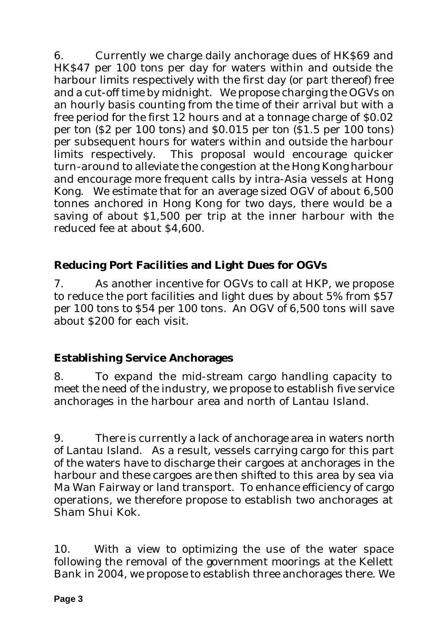6. Currently we charge daily anchorage dues of HK\$69 and HK\$47 per 100 tons per day for waters within and outside the harbour limits respectively with the first day (or part thereof) free and a cut-off time by midnight. We propose charging the OGVs on an hourly basis counting from the time of their arrival but with a free period for the first 12 hours and at a tonnage charge of \$0.02 per ton (\$2 per 100 tons) and \$0.015 per ton (\$1.5 per 100 tons) per subsequent hours for waters within and outside the harbour limits respectively. This proposal would encourage quicker turn-around to alleviate the congestion at the Hong Kong harbour and encourage more frequent calls by intra-Asia vessels at Hong Kong. We estimate that for an average sized OGV of about 6,500 tonnes anchored in Hong Kong for two days, there would be a saving of about \$1,500 per trip at the inner harbour with the reduced fee at about \$4,600.

## **Reducing Port Facilities and Light Dues for OGVs**

7. As another incentive for OGVs to call at HKP, we propose to reduce the port facilities and light dues by about 5% from \$57 per 100 tons to \$54 per 100 tons. An OGV of 6,500 tons will save about \$200 for each visit.

## **Establishing Service Anchorages**

8. To expand the mid-stream cargo handling capacity to meet the need of the industry, we propose to establish five service anchorages in the harbour area and north of Lantau Island.

9. There is currently a lack of anchorage area in waters north of Lantau Island. As a result, vessels carrying cargo for this part of the waters have to discharge their cargoes at anchorages in the harbour and these cargoes are then shifted to this area by sea via Ma Wan Fairway or land transport. To enhance efficiency of cargo operations, we therefore propose to establish two anchorages at Sham Shui Kok.

10. With a view to optimizing the use of the water space following the removal of the government moorings at the Kellett Bank in 2004, we propose to establish three anchorages there. We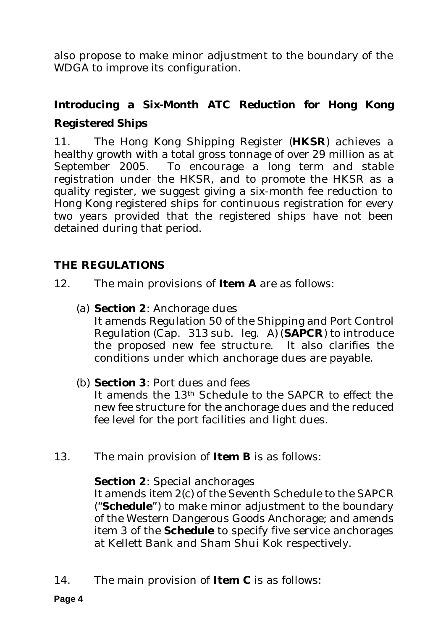also propose to make minor adjustment to the boundary of the WDGA to improve its configuration.

# **Introducing a Six-Month ATC Reduction for Hong Kong Registered Ships**

11. The Hong Kong Shipping Register (**HKSR**) achieves a healthy growth with a total gross tonnage of over 29 million as at September 2005. To encourage a long term and stable registration under the HKSR, and to promote the HKSR as a quality register, we suggest giving a six-month fee reduction to Hong Kong registered ships for continuous registration for every two years provided that the registered ships have not been detained during that period.

## **THE REGULATIONS**

- 12. The main provisions of **Item A** are as follows:
	- (a) **Section 2**: Anchorage dues It amends Regulation 50 of the Shipping and Port Control Regulation (Cap. 313 sub. leg. A) (**SAPCR**) to introduce the proposed new fee structure. It also clarifies the conditions under which anchorage dues are payable.
	- (b) **Section 3**: Port dues and fees

It amends the 13th Schedule to the SAPCR to effect the new fee structure for the anchorage dues and the reduced fee level for the port facilities and light dues.

13. The main provision of **Item B** is as follows:

### **Section 2**: Special anchorages

It amends item 2(c) of the Seventh Schedule to the SAPCR ("**Schedule**") to make minor adjustment to the boundary of the Western Dangerous Goods Anchorage; and amends item 3 of the **Schedule** to specify five service anchorages at Kellett Bank and Sham Shui Kok respectively.

14. The main provision of **Item C** is as follows: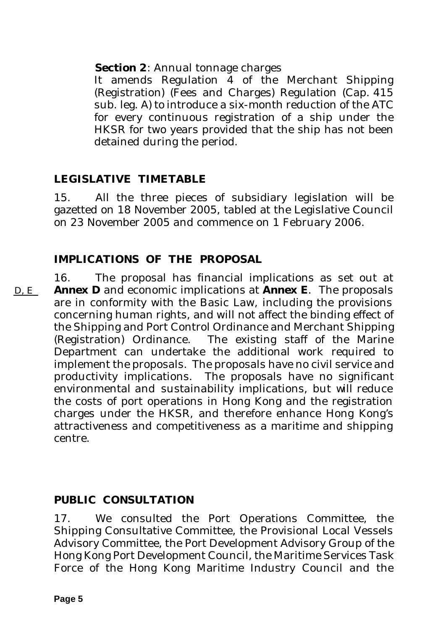**Section 2**: Annual tonnage charges

It amends Regulation 4 of the Merchant Shipping (Registration) (Fees and Charges) Regulation (Cap. 415 sub. leg. A) to introduce a six-month reduction of the ATC for every continuous registration of a ship under the HKSR for two years provided that the ship has not been detained during the period.

## **LEGISLATIVE TIMETABLE**

15. All the three pieces of subsidiary legislation will be gazetted on 18 November 2005, tabled at the Legislative Council on 23 November 2005 and commence on 1 February 2006.

## **IMPLICATIONS OF THE PROPOSAL**

16. The proposal has financial implications as set out at **Annex D** and economic implications at **Annex E**. The proposals are in conformity with the Basic Law, including the provisions concerning human rights, and will not affect the binding effect of the Shipping and Port Control Ordinance and Merchant Shipping (Registration) Ordinance. The existing staff of the Marine Department can undertake the additional work required to implement the proposals. The proposals have no civil service and productivity implications. The proposals have no significant environmental and sustainability implications, but will reduce the costs of port operations in Hong Kong and the registration charges under the HKSR, and therefore enhance Hong Kong's attractiveness and competitiveness as a maritime and shipping centre.  $D, E$ 

## **PUBLIC CONSULTATION**

17. We consulted the Port Operations Committee, the Shipping Consultative Committee, the Provisional Local Vessels Advisory Committee, the Port Development Advisory Group of the Hong Kong Port Development Council, the Maritime Services Task Force of the Hong Kong Maritime Industry Council and the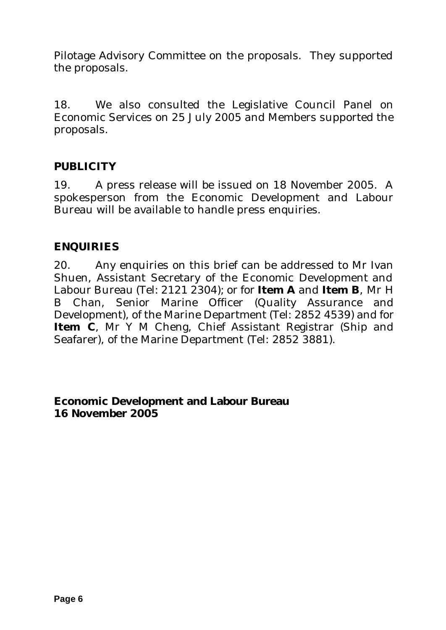Pilotage Advisory Committee on the proposals. They supported the proposals.

18. We also consulted the Legislative Council Panel on Economic Services on 25 July 2005 and Members supported the proposals.

### **PUBLICITY**

19. A press release will be issued on 18 November 2005. A spokesperson from the Economic Development and Labour Bureau will be available to handle press enquiries.

### **ENQUIRIES**

20. Any enquiries on this brief can be addressed to Mr Ivan Shuen, Assistant Secretary of the Economic Development and Labour Bureau (Tel: 2121 2304); or for **Item A** and **Item B**, Mr H B Chan, Senior Marine Officer (Quality Assurance and Development), of the Marine Department (Tel: 2852 4539) and for **Item C**, Mr Y M Cheng, Chief Assistant Registrar (Ship and Seafarer), of the Marine Department (Tel: 2852 3881).

**Economic Development and Labour Bureau 16 November 2005**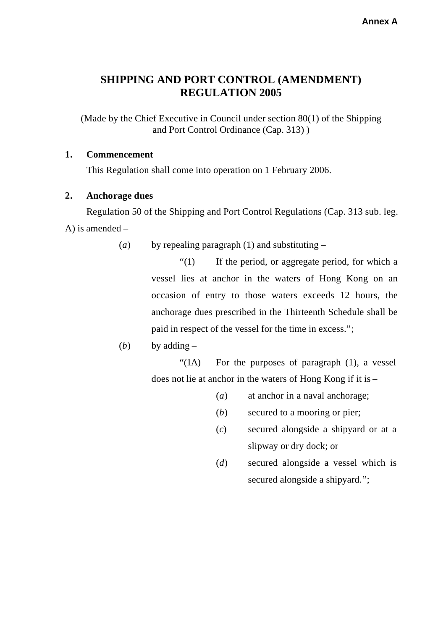## **SHIPPING AND PORT CONTROL (AMENDMENT) REGULATION 2005**

(Made by the Chief Executive in Council under section 80(1) of the Shipping and Port Control Ordinance (Cap. 313) )

#### **1. Commencement**

This Regulation shall come into operation on 1 February 2006.

#### **2. Anchorage dues**

Regulation 50 of the Shipping and Port Control Regulations (Cap. 313 sub. leg. A) is amended –

(*a*) by repealing paragraph (1) and substituting –

"(1) If the period, or aggregate period, for which a vessel lies at anchor in the waters of Hong Kong on an occasion of entry to those waters exceeds 12 hours, the anchorage dues prescribed in the Thirteenth Schedule shall be paid in respect of the vessel for the time in excess.";

(*b*) by adding –

"(1A) For the purposes of paragraph (1), a vessel does not lie at anchor in the waters of Hong Kong if it is –

- (*a*) at anchor in a naval anchorage;
- (*b*) secured to a mooring or pier;
- (*c*) secured alongside a shipyard or at a slipway or dry dock; or
- (*d*) secured alongside a vessel which is secured alongside a shipyard.";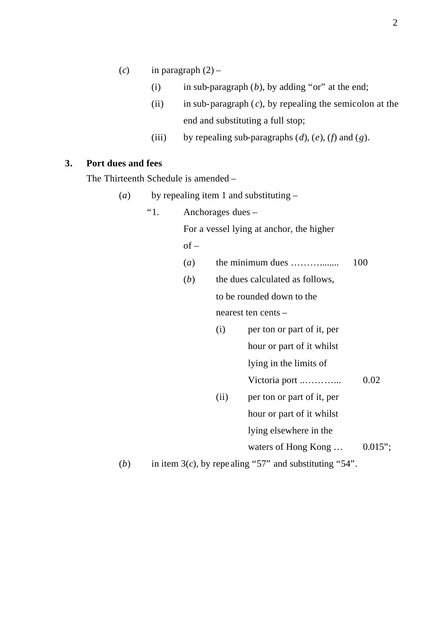- (*c*) in paragraph  $(2)$ 
	- (i) in sub-paragraph  $(b)$ , by adding "or" at the end;
	- (ii) in sub-paragraph ( *c*), by repealing the semicolon at the end and substituting a full stop;
	- (iii) by repealing sub-paragraphs  $(d)$ ,  $(e)$ ,  $(f)$  and  $(g)$ .

#### **3. Port dues and fees**

The Thirteenth Schedule is amended –

- (*a*) by repealing item 1 and substituting
	- "1. Anchorages dues –

For a vessel lying at anchor, the higher

 $of -$ 

- (*a*) the minimum dues ……… ........ 100
- (*b*) the dues calculated as follows, to be rounded down to the nearest ten cents –
	- (i) per ton or part of it, per hour or part of it whilst lying in the limits of Victoria port ..……… ... 0.02 (ii) per ton or part of it, per hour or part of it whilst lying elsewhere in the waters of Hong Kong  $\ldots$  0.015";

(*b*) in item 3(*c*), by repealing "57" and substituting "54".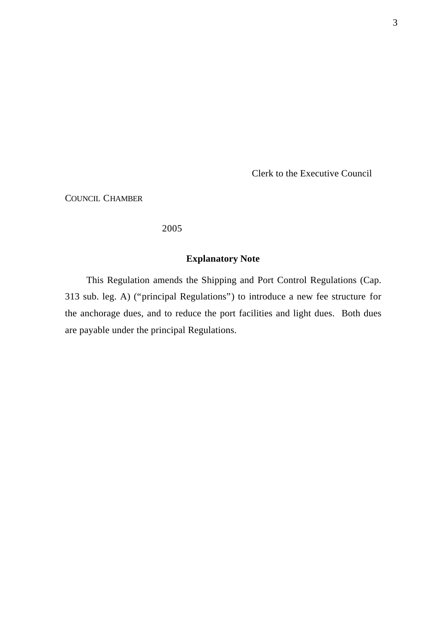Clerk to the Executive Council

COUNCIL CHAMBER

2005

#### **Explanatory Note**

This Regulation amends the Shipping and Port Control Regulations (Cap. 313 sub. leg. A) ("principal Regulations") to introduce a new fee structure for the anchorage dues, and to reduce the port facilities and light dues. Both dues are payable under the principal Regulations.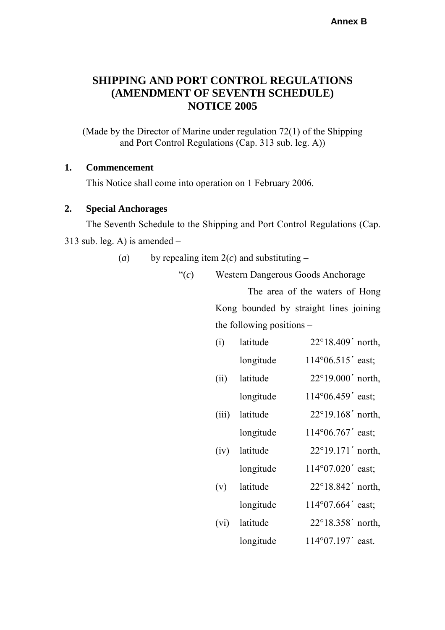### **SHIPPING AND PORT CONTROL REGULATIONS (AMENDMENT OF SEVENTH SCHEDULE) NOTICE 2005**

(Made by the Director of Marine under regulation 72(1) of the Shipping and Port Control Regulations (Cap. 313 sub. leg. A))

#### **1. Commencement**

This Notice shall come into operation on 1 February 2006.

#### **2. Special Anchorages**

The Seventh Schedule to the Shipping and Port Control Regulations (Cap.  $313$  sub. leg. A) is amended –

(*a*) by repealing item  $2(c)$  and substituting –

"(*c*) Western Dangerous Goods Anchorage The area of the waters of Hong Kong bounded by straight lines joining the following positions –

| (i)   | latitude  | $22^{\circ}18.409'$ north, |
|-------|-----------|----------------------------|
|       | longitude | 114°06.515' east;          |
| (ii)  | latitude  | $22^{\circ}19.000'$ north, |
|       | longitude | 114°06.459' east;          |
| (iii) | latitude  | $22^{\circ}19.168'$ north, |
|       | longitude | 114°06.767' east;          |
| (iv)  | latitude  | $22^{\circ}19.171'$ north, |
|       | longitude | 114°07.020' east;          |
| (v)   | latitude  | $22^{\circ}18.842'$ north, |
|       | longitude | 114°07.664' east;          |
| (vi)  | latitude  | 22°18.358' north,          |
|       | longitude | 114°07.197' east.          |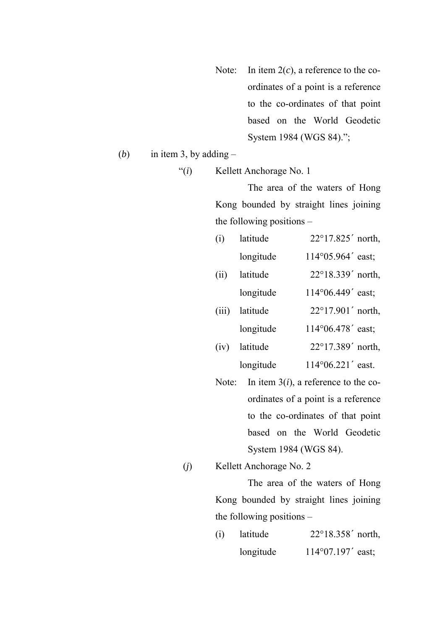Note: In item 2(*c*), a reference to the coordinates of a point is a reference to the co-ordinates of that point based on the World Geodetic System 1984 (WGS 84).";

(*b*) in item 3, by adding  $-$ 

"(*i*) Kellett Anchorage No. 1

The area of the waters of Hong Kong bounded by straight lines joining the following positions –

| (i)   | latitude  | 22°17.825' north,          |
|-------|-----------|----------------------------|
|       | longitude | 114°05.964' east;          |
| (ii)  | latitude  | 22°18.339' north,          |
|       | longitude | 114°06.449' east;          |
| (iii) | latitude  | $22^{\circ}17.901'$ north, |
|       | longitude | 114°06.478' east;          |
| (iv)  | latitude  | 22°17.389' north,          |
|       | longitude | 114°06.221' east.          |

Note: In item 3(*i*), a reference to the coordinates of a point is a reference to the co-ordinates of that point based on the World Geodetic System 1984 (WGS 84).

(*j*) Kellett Anchorage No. 2

The area of the waters of Hong Kong bounded by straight lines joining the following positions –

(i) latitude 22°18.358΄ north, longitude 114°07.197΄ east;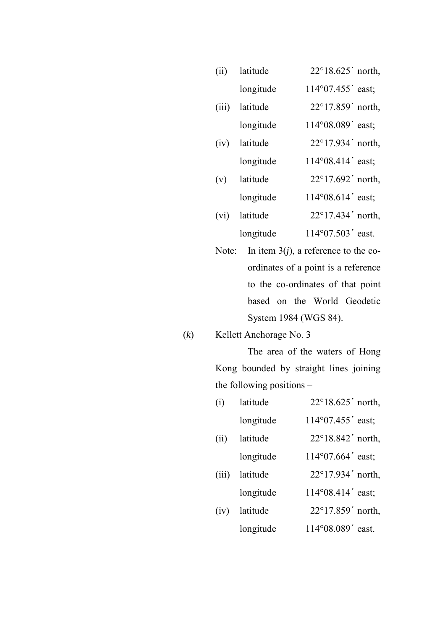| (ii)  | latitude  | 22°18.625' north,          |
|-------|-----------|----------------------------|
|       | longitude | 114°07.455' east;          |
| (iii) | latitude  | $22^{\circ}17.859'$ north, |
|       | longitude | 114°08.089' east;          |
| (iv)  | latitude  | 22°17.934' north,          |
|       | longitude | 114°08.414' east;          |
| (v)   | latitude  | $22^{\circ}17.692'$ north, |
|       | longitude | 114°08.614' east;          |
| (vi)  | latitude  | 22°17.434' north,          |
|       | longitude | 114°07.503' east.          |
|       |           |                            |

- Note: In item 3(*j*), a reference to the coordinates of a point is a reference to the co-ordinates of that point based on the World Geodetic System 1984 (WGS 84).
- (*k*) Kellett Anchorage No. 3

The area of the waters of Hong Kong bounded by straight lines joining the following positions –

| (i)   | latitude  | 22°18.625' north,          |
|-------|-----------|----------------------------|
|       | longitude | 114°07.455' east;          |
| (ii)  | latitude  | 22°18.842' north,          |
|       | longitude | $114^{\circ}07.664'$ east; |
| (iii) | latitude  | 22°17.934' north,          |
|       | longitude | 114°08.414' east;          |
| (iv)  | latitude  | 22°17.859' north,          |
|       | longitude | 114°08.089' east.          |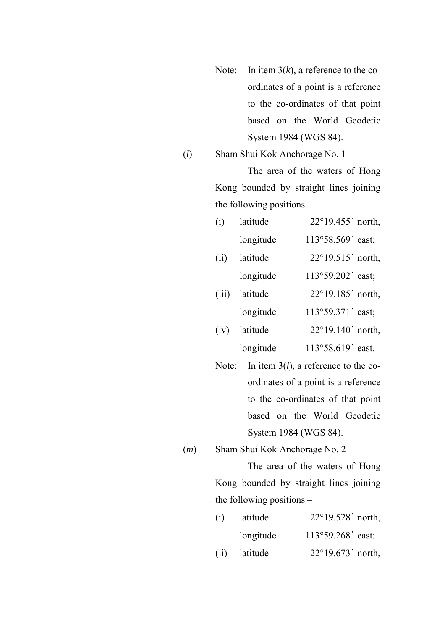- Note: In item 3(*k*), a reference to the coordinates of a point is a reference to the co-ordinates of that point based on the World Geodetic System 1984 (WGS 84).
- (*l*) Sham Shui Kok Anchorage No. 1

The area of the waters of Hong Kong bounded by straight lines joining the following positions –

| (i)   | latitude  | 22°19.455' north, |
|-------|-----------|-------------------|
|       | longitude | 113°58.569' east; |
| (ii)  | latitude  | 22°19.515' north, |
|       | longitude | 113°59.202' east; |
| (iii) | latitude  | 22°19.185' north, |
|       | longitude | 113°59.371' east; |
| (iv)  | latitude  | 22°19.140' north, |
|       | longitude | 113°58.619' east. |

- Note: In item 3(*l*), a reference to the coordinates of a point is a reference to the co-ordinates of that point based on the World Geodetic System 1984 (WGS 84).
- (*m*) Sham Shui Kok Anchorage No. 2

The area of the waters of Hong Kong bounded by straight lines joining the following positions –

| (i) | latitude      | $22^{\circ}19.528'$ north, |
|-----|---------------|----------------------------|
|     | longitude     | 113°59.268' east;          |
|     | (ii) latitude | $22^{\circ}19.673'$ north, |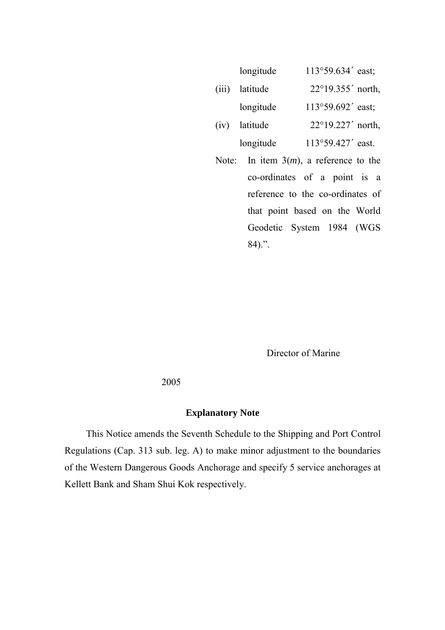|       | longitude | 113°59.634' east;          |
|-------|-----------|----------------------------|
| (iii) | latitude  | $22^{\circ}19.355'$ north, |
|       | longitude | 113°59.692' east;          |
| (iv)  | latitude  | 22°19.227' north,          |
|       | longitude | 113°59.427' east.          |

Note: In item 3(*m*), a reference to the co-ordinates of a point is a reference to the co-ordinates of that point based on the World Geodetic System 1984 (WGS 84).".

Director of Marine

2005

#### **Explanatory Note**

This Notice amends the Seventh Schedule to the Shipping and Port Control Regulations (Cap. 313 sub. leg. A) to make minor adjustment to the boundaries of the Western Dangerous Goods Anchorage and specify 5 service anchorages at Kellett Bank and Sham Shui Kok respectively.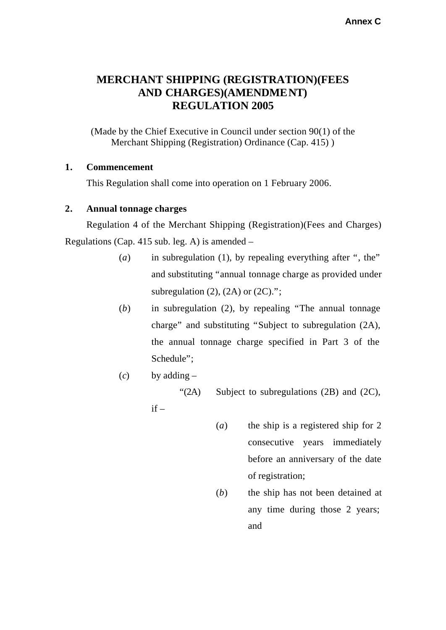### **MERCHANT SHIPPING (REGISTRATION)(FEES AND CHARGES)(AMENDMENT) REGULATION 2005**

(Made by the Chief Executive in Council under section 90(1) of the Merchant Shipping (Registration) Ordinance (Cap. 415) )

#### **1. Commencement**

This Regulation shall come into operation on 1 February 2006.

#### **2. Annual tonnage charges**

Regulation 4 of the Merchant Shipping (Registration)(Fees and Charges) Regulations (Cap. 415 sub. leg. A) is amended –

- (*a*) in subregulation (1), by repealing everything after ", the" and substituting "annual tonnage charge as provided under subregulation  $(2)$ ,  $(2A)$  or  $(2C)$ .";
- (*b*) in subregulation (2), by repealing "The annual tonnage charge" and substituting "Subject to subregulation (2A), the annual tonnage charge specified in Part 3 of the Schedule";
- $(c)$  by adding –

" $(2A)$  Subject to subregulations  $(2B)$  and  $(2C)$ ,

 $if -$ 

- (*a*) the ship is a registered ship for 2 consecutive years immediately before an anniversary of the date of registration;
- (*b*) the ship has not been detained at any time during those 2 years; and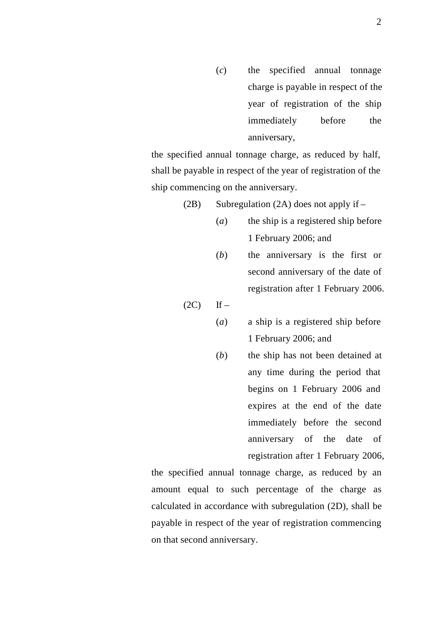(*c*) the specified annual tonnage charge is payable in respect of the year of registration of the ship immediately before the anniversary,

the specified annual tonnage charge, as reduced by half, shall be payable in respect of the year of registration of the ship commencing on the anniversary.

(2B) Subregulation (2A) does not apply if –

- (*a*) the ship is a registered ship before 1 February 2006; and
- (*b*) the anniversary is the first or second anniversary of the date of registration after 1 February 2006.

 $(2C)$  If –

- (*a*) a ship is a registered ship before 1 February 2006; and
- (*b*) the ship has not been detained at any time during the period that begins on 1 February 2006 and expires at the end of the date immediately before the second anniversary of the date of registration after 1 February 2006,

the specified annual tonnage charge, as reduced by an amount equal to such percentage of the charge as calculated in accordance with subregulation (2D), shall be payable in respect of the year of registration commencing on that second anniversary.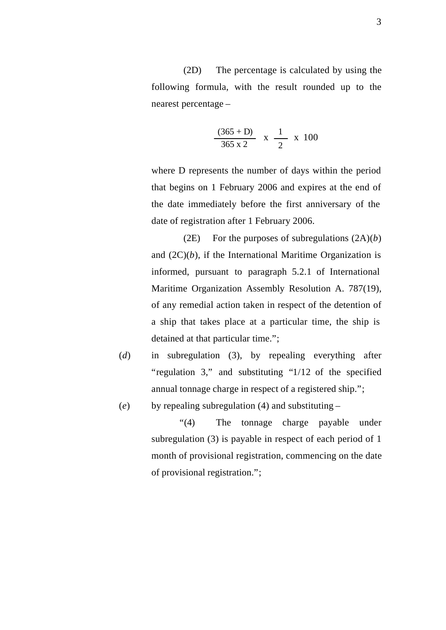(2D) The percentage is calculated by using the following formula, with the result rounded up to the nearest percentage –

$$
\frac{(365+D)}{365 \times 2} \times \frac{1}{2} \times 100
$$

where D represents the number of days within the period that begins on 1 February 2006 and expires at the end of the date immediately before the first anniversary of the date of registration after 1 February 2006.

(2E) For the purposes of subregulations (2A)(*b*) and  $(2C)(b)$ , if the International Maritime Organization is informed, pursuant to paragraph 5.2.1 of International Maritime Organization Assembly Resolution A. 787(19), of any remedial action taken in respect of the detention of a ship that takes place at a particular time, the ship is detained at that particular time.";

- (*d*) in subregulation (3), by repealing everything after "regulation 3," and substituting "1/12 of the specified annual tonnage charge in respect of a registered ship.";
- (*e*) by repealing subregulation (4) and substituting –

"(4) The tonnage charge payable under subregulation (3) is payable in respect of each period of 1 month of provisional registration, commencing on the date of provisional registration.";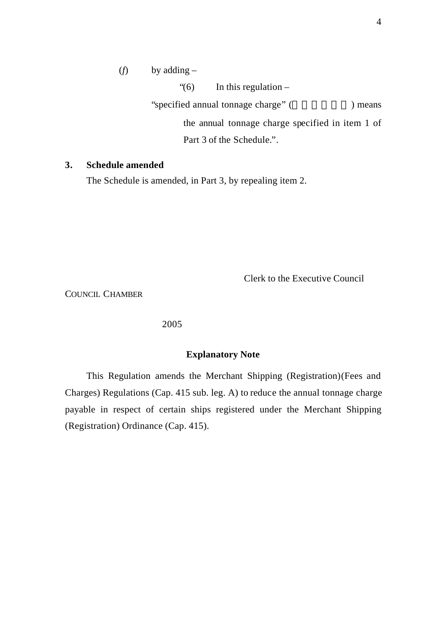(*f*) by adding –

"(6) In this regulation  $-$ "specified annual tonnage charge" (  $\qquad \qquad$ ) means the annual tonnage charge specified in item 1 of Part 3 of the Schedule.".

#### **3. Schedule amended**

The Schedule is amended, in Part 3, by repealing item 2.

Clerk to the Executive Council

COUNCIL CHAMBER

#### 2005

#### **Explanatory Note**

This Regulation amends the Merchant Shipping (Registration)(Fees and Charges) Regulations (Cap. 415 sub. leg. A) to reduce the annual tonnage charge payable in respect of certain ships registered under the Merchant Shipping (Registration) Ordinance (Cap. 415).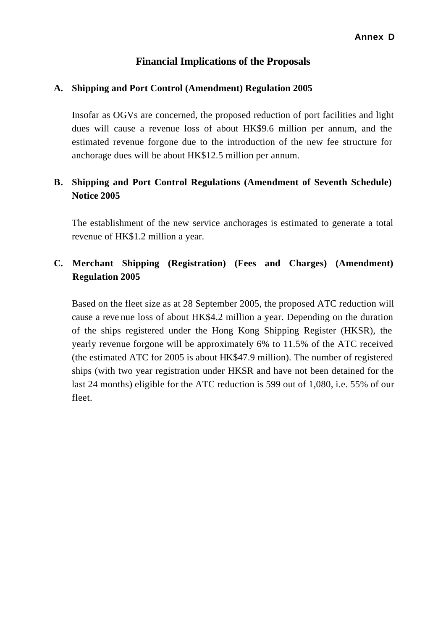#### **Annex D**

#### **Financial Implications of the Proposals**

#### **A. Shipping and Port Control (Amendment) Regulation 2005**

Insofar as OGVs are concerned, the proposed reduction of port facilities and light dues will cause a revenue loss of about HK\$9.6 million per annum, and the estimated revenue forgone due to the introduction of the new fee structure for anchorage dues will be about HK\$12.5 million per annum.

### **B. Shipping and Port Control Regulations (Amendment of Seventh Schedule) Notice 2005**

The establishment of the new service anchorages is estimated to generate a total revenue of HK\$1.2 million a year.

### **C. Merchant Shipping (Registration) (Fees and Charges) (Amendment) Regulation 2005**

Based on the fleet size as at 28 September 2005, the proposed ATC reduction will cause a reve nue loss of about HK\$4.2 million a year. Depending on the duration of the ships registered under the Hong Kong Shipping Register (HKSR), the yearly revenue forgone will be approximately 6% to 11.5% of the ATC received (the estimated ATC for 2005 is about HK\$47.9 million). The number of registered ships (with two year registration under HKSR and have not been detained for the last 24 months) eligible for the ATC reduction is 599 out of 1,080, i.e. 55% of our fleet.